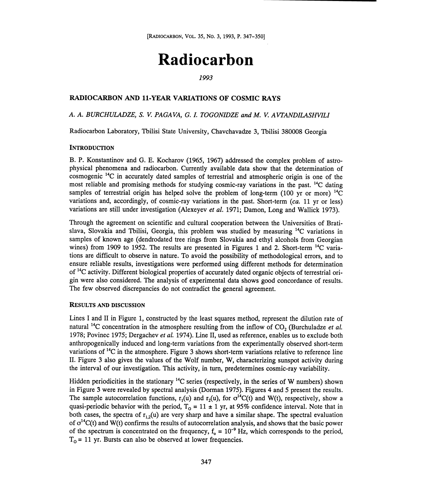# Radiocarbon

# 1993

# RADIOCARBON AND 11-YEAR VARIATIONS OF COSMIC RAYS

# A. A. BURCHULADZE, S. V. PAGAVA, G.1. TOGONIDZE and M. V. AVTANDILASHVILI

Radiocarbon Laboratory, Tbilisi State University, Chavchavadze 3, Tbilisi 380008 Georgia

#### **INTRODUCTION**

B. P. Konstantinov and G. E. Kocharov (1965, 1967) addressed the complex problem of astrophysical phenomena and radiocarbon. Currently available data show that the determination of cosmogenic 14C in accurately dated samples of terrestrial and atmospheric origin is one of the most reliable and promising methods for studying cosmic-ray variations in the past. 14C dating samples of terrestrial origin has helped solve the problem of long-term (100 yr or more)  $^{14}$ C variations and, accordingly, of cosmic-ray variations in the past. Short-term (ca. 11 yr or less) variations are still under investigation (Alexeyev et al. 1971; Damon, Long and Wallick 1973).

Through the agreement on scientific and cultural cooperation between the Universities of Bratislava, Slovakia and Tbilisi, Georgia, this problem was studied by measuring  $^{14}C$  variations in samples of known age (dendrodated tree rings from Slovakia and ethyl alcohols from Georgian wines) from 1909 to 1952. The results are presented in Figures 1 and 2. Short-term <sup>14</sup>C variations are difficult to observe in nature. To avoid the possibility of methodological errors, and to ensure reliable results, investigations were performed using different methods for determination of <sup>14</sup>C activity. Different biological properties of accurately dated organic objects of terrestrial origin were also considered. The analysis of experimental data shows good concordance of results. The few observed discrepancies do not contradict the general agreement.

#### RESULTS AND DISCUSSION

Lines I and II in Figure 1, constructed by the least squares method, represent the dilution rate of natural <sup>14</sup>C concentration in the atmosphere resulting from the inflow of  $CO<sub>2</sub>$  (Burchuladze *et al.*) 1978; Povinec 1975; Dergachev et al. 1974). Line II, used as reference, enables us to exclude both anthropogenically induced and long-term variations from the experimentally observed short-term variations of  ${}^{14}C$  in the atmosphere. Figure 3 shows short-term variations relative to reference line II. Figure 3 also gives the values of the Wolf number, W, characterizing sunspot activity during the interval of our investigation. This activity, in turn, predetermines cosmic-ray variability.

Hidden periodicities in the stationary <sup>14</sup>C series (respectively, in the series of W numbers) shown in Figure 3 were revealed by spectral analysis (Dorman 1975). Figures 4 and 5 present the results. The sample autocorrelation functions,  $r_1(u)$  and  $r_2(u)$ , for  $\sigma^{14}C(t)$  and W(t), respectively, show a quasi-periodic behavior with the period,  $T_0 = 11 \pm 1$  yr, at 95% confidence interval. Note that in both cases, the spectra of  $r_1(0)$  are very sharp and have a similar shape. The spectral evaluation of  $\sigma^{14}C(t)$  and W(t) confirms the results of autocorrelation analysis, and shows that the basic power of the spectrum is concentrated on the frequency,  $f_0 = 10^{-9}$  Hz, which corresponds to the period,  $T<sub>o</sub>$  = 11 yr. Bursts can also be observed at lower frequencies.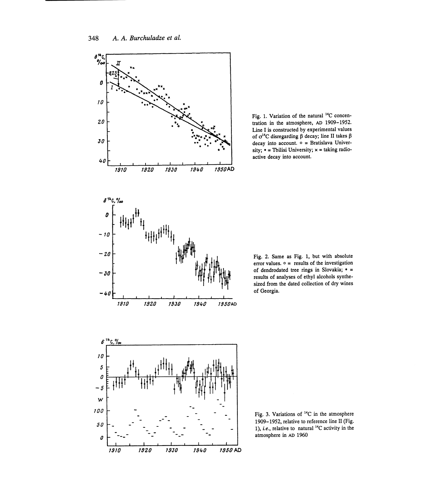

Fig. 1. Variation of the natural 14C concen- tration in the atmosphere, AD 1909-1952. Line I is constructed by experimental values of  $\sigma^{14}C$  disregarding  $\beta$  decay; line II takes  $\beta$ decay into account. o = Bratislava University;  $\bullet$  = Tbilisi University;  $\times$  = taking radioactive decay into account.



Fig. 2. Same as Fig. 1, but with absolute error values.  $\circ$  = results of the investigation of dendrodated tree rings in Slovakia; results of analyses of ethyl alcohols synthesized from the dated collection of dry wines of Georgia.



Fig. 3. Variations of  $^{14}C$  in the atmosphere 1909-1952, relative to reference line II (Fig. 1), *i.e.*, relative to natural  $^{14}$ C activity in the atmosphere in AD 1960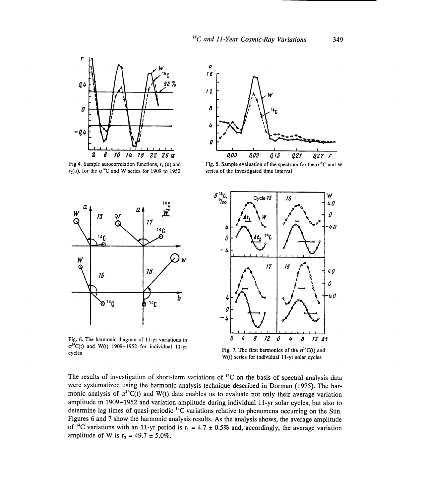p



Fig 4. Sample autocorrelation functions,  $r_1$  (u) and  $r<sub>2</sub>(u)$ , for the  $\sigma^{14}C$  and W series for 1909 to 1952



Fig. 5. Sample evaluation of the spectrum for the  $\sigma^{14}C$  and W series of the investigated time interval



Fig. 6. The harmonic diagram of 11-yr variations in  $\sigma^{14}C(t)$  and W(t) 1909-1952 for individual 11-yr cycles



Fig. 7. The first harmonics of the  $\sigma^{14}C(t)$  and W(t) series for individual 11-yr solar cycles

The results of investigation of short-term variations of  $^{14}$ C on the basis of spectral analysis data were systematized using the harmonic analysis technique described in Dorman (1975). The harmonic analysis of  $\sigma^{14}C(t)$  and W(t) data enables us to evaluate not only their average variation amplitude in 1909-1952 and variation amplitude during individual 11-yr solar cycles, but also to determine lag times of quasi-periodic 14C variations relative to phenomena occurring on the Sun. Figures 6 and 7 show the harmonic analysis results. As the analysis shows, the average amplitude of <sup>14</sup>C variations with an 11-yr period is r<sub>1</sub> = 4.7 ± 0.5% and, accordingly, the average variation amplitude of W is  $r_2 = 49.7 \pm 5.0\%$ .